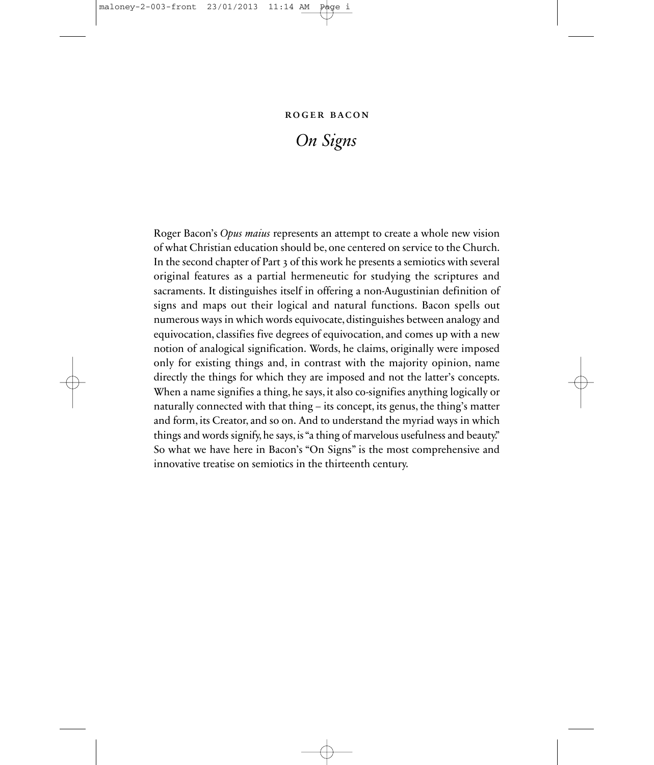#### roger bacon

### *On Signs*

Roger Bacon's *Opus maius* represents an attempt to create a whole new vision of what Christian education should be, one centered on service to the Church. In the second chapter of Part 3 of this work he presents a semiotics with several original features as a partial hermeneutic for studying the scriptures and sacraments. It distinguishes itself in offering a non-Augustinian definition of signs and maps out their logical and natural functions. Bacon spells out numerous ways in which words equivocate, distinguishes between analogy and equivocation, classifies five degrees of equivocation, and comes up with a new notion of analogical signification. Words, he claims, originally were imposed only for existing things and, in contrast with the majority opinion, name directly the things for which they are imposed and not the latter's concepts. When a name signifies a thing, he says, it also co-signifies anything logically or naturally connected with that thing – its concept, its genus, the thing's matter and form, its Creator, and so on. And to understand the myriad ways in which things and words signify, he says, is "a thing of marvelous usefulness and beauty." So what we have here in Bacon's "On Signs" is the most comprehensive and innovative treatise on semiotics in the thirteenth century.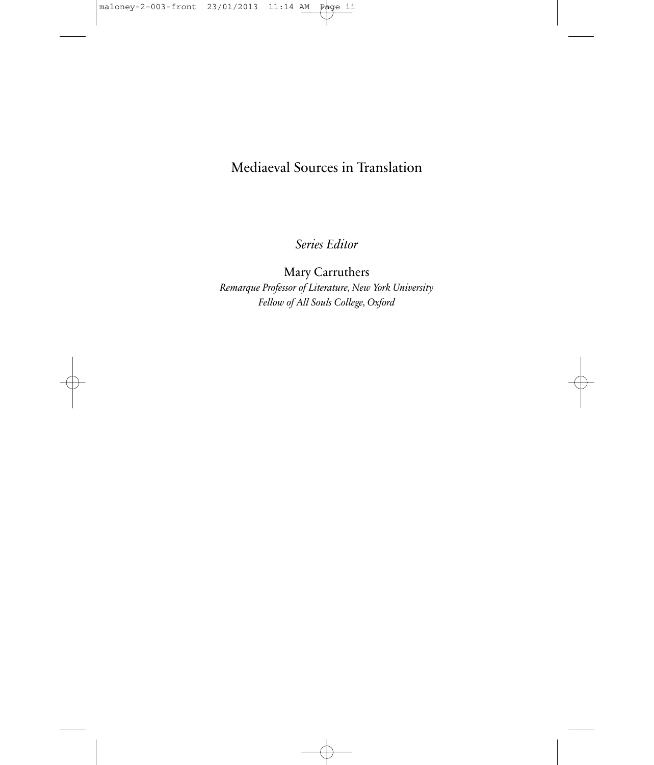### Mediaeval Sources in Translation

*Series Editor*

Mary Carruthers *Remarque Professor of Literature, New York University Fellow of All Souls College, Oxford*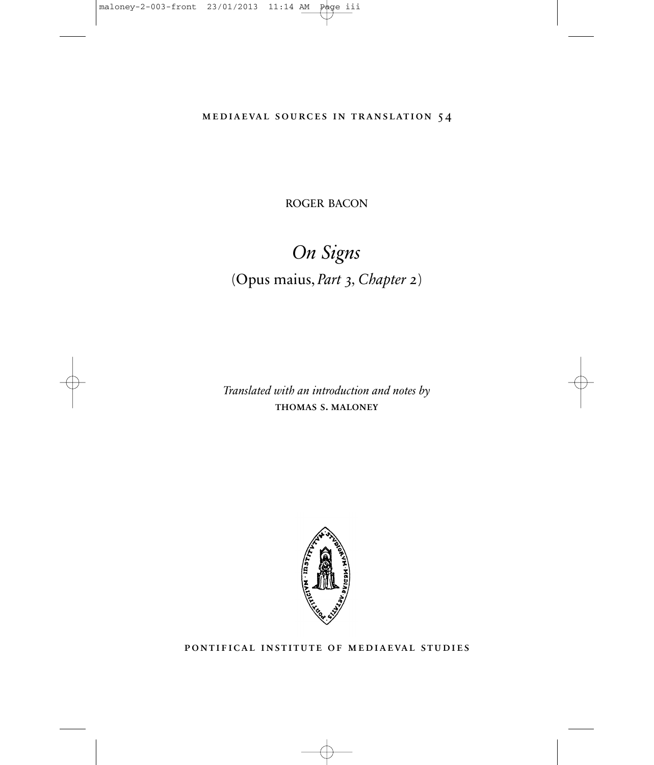mediaeval sources in translation 54

ROGER BACON

# *On Signs* (Opus maius, *Part 3, Chapter 2*)

*Translated with an introduction and notes by* thomas s. maloney



pontifical institute of mediaeval studies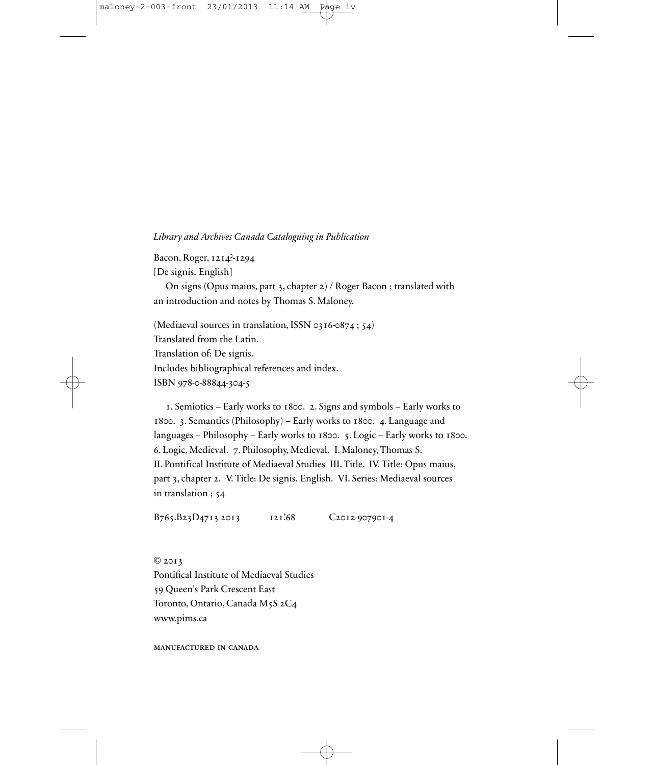#### *Library and Archives Canada Cataloguing in Publication*

Bacon, Roger, 1214?-1294

[De signis. English]

On signs (Opus maius, part 3, chapter 2) / Roger Bacon ; translated with an introduction and notes by Thomas S. Maloney.

(Mediaeval sources in translation, ISSN 0316-0874 ; 54) Translated from the Latin. Translation of: De signis. Includes bibliographical references and index. ISBN 978-0-88844-304-5

1. Semiotics – Early works to 1800. 2. Signs and symbols – Early works to 1800. 3. Semantics (Philosophy) – Early works to 1800. 4. Language and languages – Philosophy – Early works to 1800. 5. Logic – Early works to 1800. 6. Logic, Medieval. 7. Philosophy, Medieval. I. Maloney, Thomas S. II. Pontifical Institute of Mediaeval Studies III. Title. IV. Title: Opus maius, part 3, chapter 2. V. Title: De signis. English. VI. Series: Mediaeval sources in translation ; 54

B765.B23D4713 2013 121.68 C2012-907901-4

© 2013 Pontifical Institute of Mediaeval Studies 59 Queen's Park Crescent East Toronto, Ontario, Canada M5S 2C4 www.pims.ca

manufactured in canada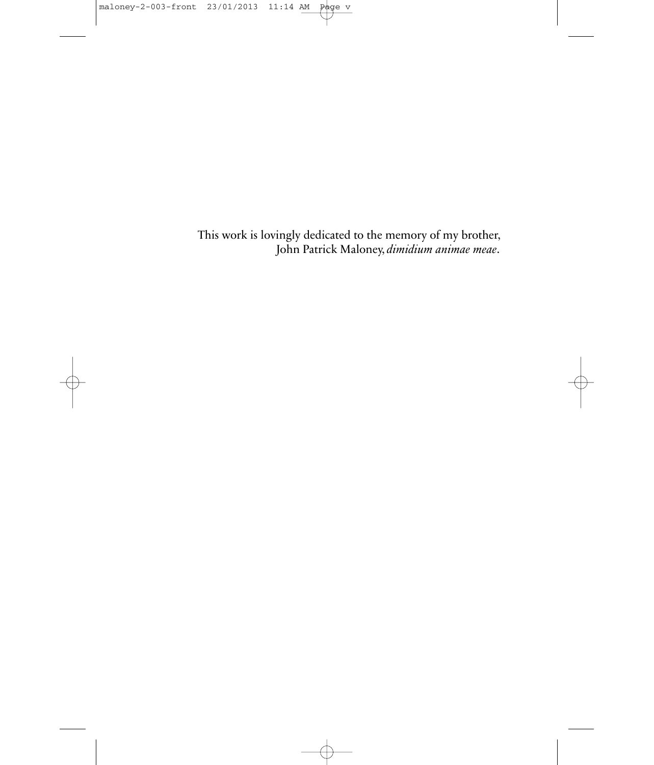This work is lovingly dedicated to the memory of my brother, John Patrick Maloney, *dimidium animae meae*.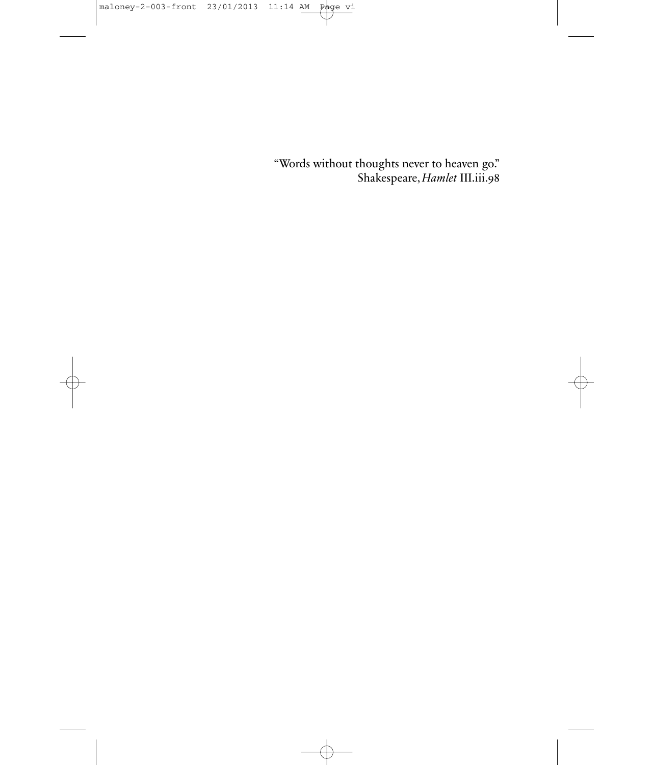"Words without thoughts never to heaven go." Shakespeare, *Hamlet* III.iii.98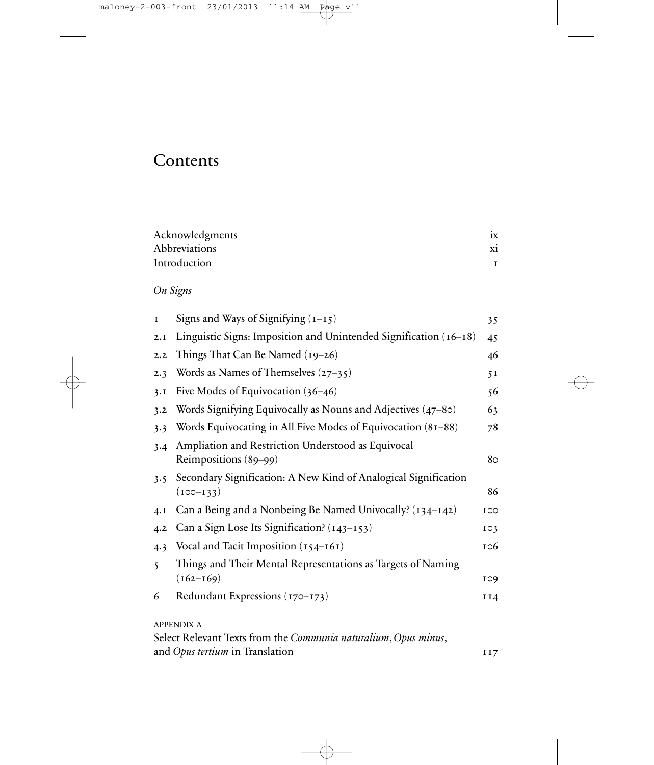## **Contents**

| Acknowledgments      |    |
|----------------------|----|
| <b>Abbreviations</b> | X1 |
| Introduction         |    |

### *On Signs*

| I                       | Signs and Ways of Signifying $(1-15)$                                                                                   | 35          |
|-------------------------|-------------------------------------------------------------------------------------------------------------------------|-------------|
| 2.I                     | Linguistic Signs: Imposition and Unintended Signification (16-18)                                                       | 45          |
| 2.2                     | Things That Can Be Named (19–26)                                                                                        | 46          |
| 2.3                     | Words as Names of Themselves $(27-35)$                                                                                  | 51          |
| 3.1                     | Five Modes of Equivocation $(36-46)$                                                                                    | 56          |
| 3.2                     | Words Signifying Equivocally as Nouns and Adjectives (47-80)                                                            | 63          |
| 3.3                     | Words Equivocating in All Five Modes of Equivocation (81-88)                                                            | 78          |
| 3.4                     | Ampliation and Restriction Understood as Equivocal<br>Reimpositions (89-99)                                             | 80          |
| 3.5                     | Secondary Signification: A New Kind of Analogical Signification<br>$(100 - 133)$                                        | 86          |
| 4.1                     | Can a Being and a Nonbeing Be Named Univocally? (134–142)                                                               | 100         |
| 4.2                     | Can a Sign Lose Its Signification? (143-153)                                                                            | $I \circ 3$ |
| 4.3                     | Vocal and Tacit Imposition $(154-161)$                                                                                  | 106         |
| $\overline{\mathbf{S}}$ | Things and Their Mental Representations as Targets of Naming<br>$(162 - 169)$                                           | 109         |
| 6                       | Redundant Expressions (170-173)                                                                                         | II4         |
|                         | <b>APPENDIX A</b><br>Select Relevant Texts from the Communia naturalium, Opus minus,<br>and Opus tertium in Translation | II7         |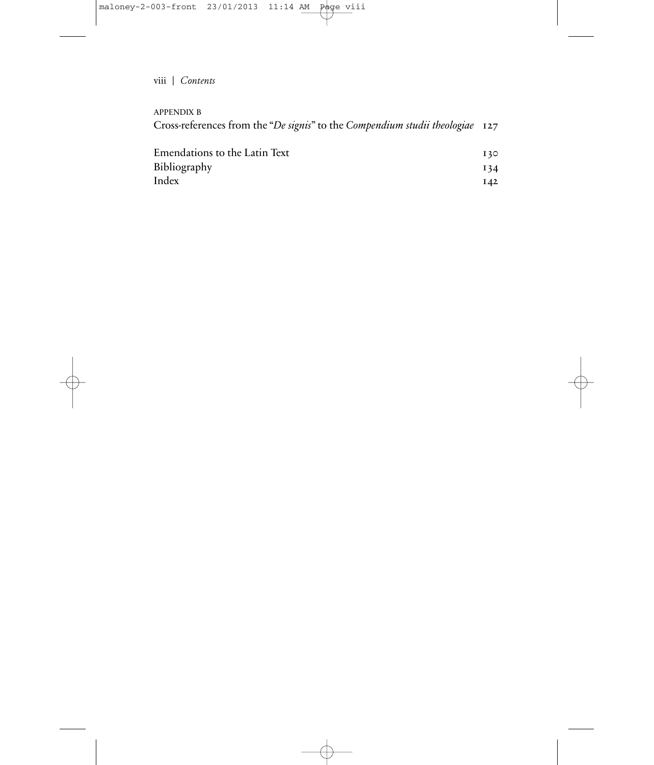viii | *Contents*

APPENDIX B

| Cross-references from the "De signis" to the Compendium studii theologiae 127 |  |
|-------------------------------------------------------------------------------|--|
|                                                                               |  |

| Emendations to the Latin Text | 130 |
|-------------------------------|-----|
| Bibliography                  | 134 |
| Index                         | 142 |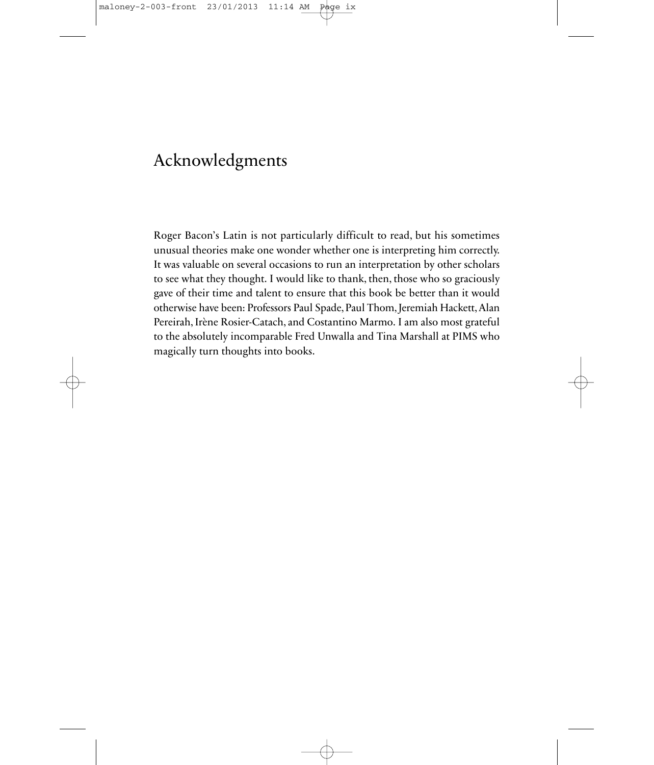### Acknowledgments

Roger Bacon's Latin is not particularly difficult to read, but his sometimes unusual theories make one wonder whether one is interpreting him correctly. It was valuable on several occasions to run an interpretation by other scholars to see what they thought. I would like to thank, then, those who so graciously gave of their time and talent to ensure that this book be better than it would otherwise have been: Professors Paul Spade, Paul Thom, Jeremiah Hackett, Alan Pereirah, Irène Rosier-Catach, and Costantino Marmo. I am also most grateful to the absolutely incomparable Fred Unwalla and Tina Marshall at PIMS who magically turn thoughts into books.